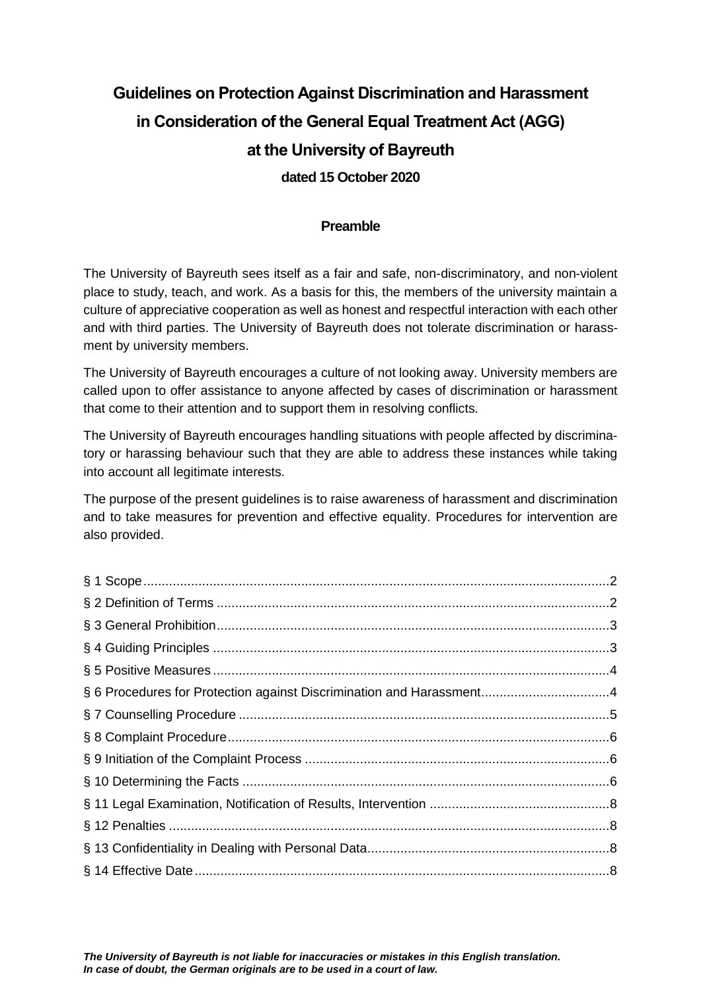# **Guidelines on Protection Against Discrimination and Harassment in Consideration of the General Equal Treatment Act (AGG) at the University of Bayreuth dated 15 October 2020**

#### **Preamble**

The University of Bayreuth sees itself as a fair and safe, non-discriminatory, and non-violent place to study, teach, and work. As a basis for this, the members of the university maintain a culture of appreciative cooperation as well as honest and respectful interaction with each other and with third parties. The University of Bayreuth does not tolerate discrimination or harassment by university members.

The University of Bayreuth encourages a culture of not looking away. University members are called upon to offer assistance to anyone affected by cases of discrimination or harassment that come to their attention and to support them in resolving conflicts.

The University of Bayreuth encourages handling situations with people affected by discriminatory or harassing behaviour such that they are able to address these instances while taking into account all legitimate interests.

The purpose of the present guidelines is to raise awareness of harassment and discrimination and to take measures for prevention and effective equality. Procedures for intervention are also provided.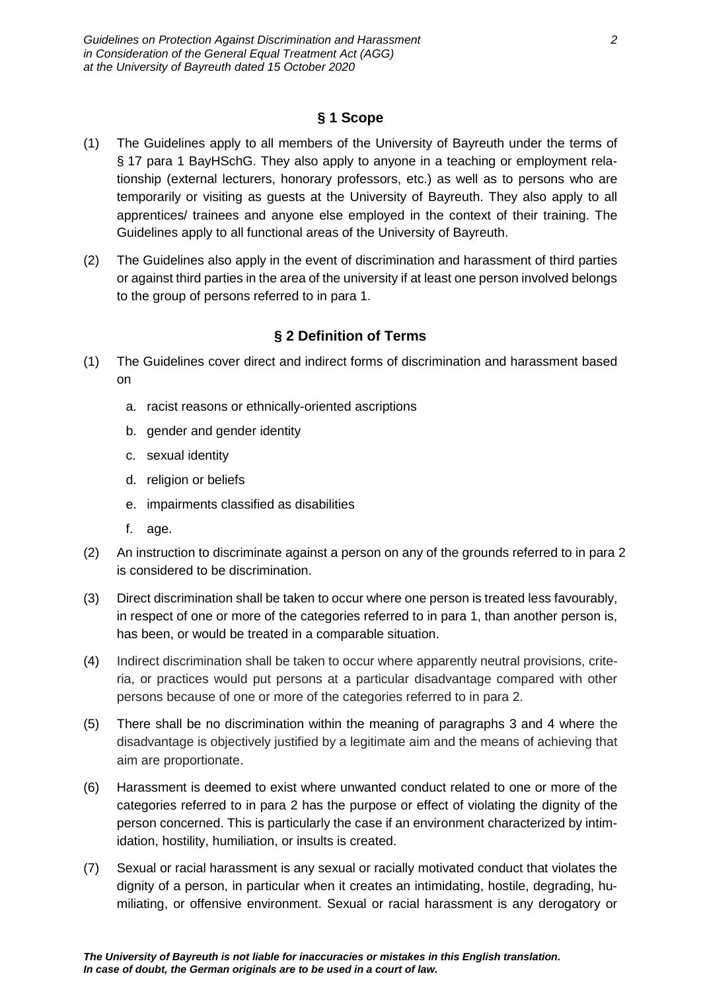# **§ 1 Scope**

- <span id="page-1-0"></span>(1) The Guidelines apply to all members of the University of Bayreuth under the terms of § 17 para 1 BayHSchG. They also apply to anyone in a teaching or employment relationship (external lecturers, honorary professors, etc.) as well as to persons who are temporarily or visiting as guests at the University of Bayreuth. They also apply to all apprentices/ trainees and anyone else employed in the context of their training. The Guidelines apply to all functional areas of the University of Bayreuth.
- (2) The Guidelines also apply in the event of discrimination and harassment of third parties or against third parties in the area of the university if at least one person involved belongs to the group of persons referred to in para 1.

# **§ 2 Definition of Terms**

- <span id="page-1-1"></span>(1) The Guidelines cover direct and indirect forms of discrimination and harassment based on
	- a. racist reasons or ethnically-oriented ascriptions
	- b. gender and gender identity
	- c. sexual identity
	- d. religion or beliefs
	- e. impairments classified as disabilities
	- f. age.
- (2) An instruction to discriminate against a person on any of the grounds referred to in para 2 is considered to be discrimination.
- (3) Direct discrimination shall be taken to occur where one person is treated less favourably, in respect of one or more of the categories referred to in para 1, than another person is, has been, or would be treated in a comparable situation.
- (4) Indirect discrimination shall be taken to occur where apparently neutral provisions, criteria, or practices would put persons at a particular disadvantage compared with other persons because of one or more of the categories referred to in para 2.
- (5) There shall be no discrimination within the meaning of paragraphs 3 and 4 where the disadvantage is objectively justified by a legitimate aim and the means of achieving that aim are proportionate.
- (6) Harassment is deemed to exist where unwanted conduct related to one or more of the categories referred to in para 2 has the purpose or effect of violating the dignity of the person concerned. This is particularly the case if an environment characterized by intimidation, hostility, humiliation, or insults is created.
- (7) Sexual or racial harassment is any sexual or racially motivated conduct that violates the dignity of a person, in particular when it creates an intimidating, hostile, degrading, humiliating, or offensive environment. Sexual or racial harassment is any derogatory or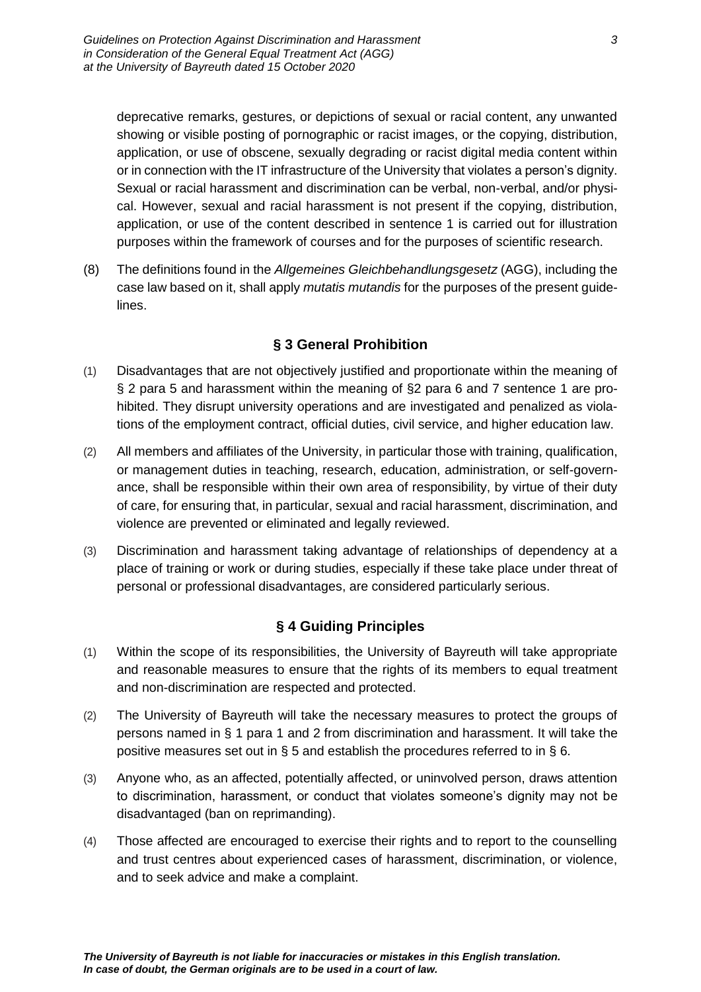deprecative remarks, gestures, or depictions of sexual or racial content, any unwanted showing or visible posting of pornographic or racist images, or the copying, distribution, application, or use of obscene, sexually degrading or racist digital media content within or in connection with the IT infrastructure of the University that violates a person's dignity. Sexual or racial harassment and discrimination can be verbal, non-verbal, and/or physical. However, sexual and racial harassment is not present if the copying, distribution, application, or use of the content described in sentence 1 is carried out for illustration purposes within the framework of courses and for the purposes of scientific research.

(8) The definitions found in the *Allgemeines Gleichbehandlungsgesetz* (AGG), including the case law based on it, shall apply *mutatis mutandis* for the purposes of the present guidelines.

# **§ 3 General Prohibition**

- <span id="page-2-0"></span>(1) Disadvantages that are not objectively justified and proportionate within the meaning of § 2 para 5 and harassment within the meaning of §2 para 6 and 7 sentence 1 are prohibited. They disrupt university operations and are investigated and penalized as violations of the employment contract, official duties, civil service, and higher education law.
- (2) All members and affiliates of the University, in particular those with training, qualification, or management duties in teaching, research, education, administration, or self-governance, shall be responsible within their own area of responsibility, by virtue of their duty of care, for ensuring that, in particular, sexual and racial harassment, discrimination, and violence are prevented or eliminated and legally reviewed.
- (3) Discrimination and harassment taking advantage of relationships of dependency at a place of training or work or during studies, especially if these take place under threat of personal or professional disadvantages, are considered particularly serious.

#### **§ 4 Guiding Principles**

- <span id="page-2-1"></span>(1) Within the scope of its responsibilities, the University of Bayreuth will take appropriate and reasonable measures to ensure that the rights of its members to equal treatment and non-discrimination are respected and protected.
- (2) The University of Bayreuth will take the necessary measures to protect the groups of persons named in § 1 para 1 and 2 from discrimination and harassment. It will take the positive measures set out in § 5 and establish the procedures referred to in § 6.
- (3) Anyone who, as an affected, potentially affected, or uninvolved person, draws attention to discrimination, harassment, or conduct that violates someone's dignity may not be disadvantaged (ban on reprimanding).
- (4) Those affected are encouraged to exercise their rights and to report to the counselling and trust centres about experienced cases of harassment, discrimination, or violence, and to seek advice and make a complaint.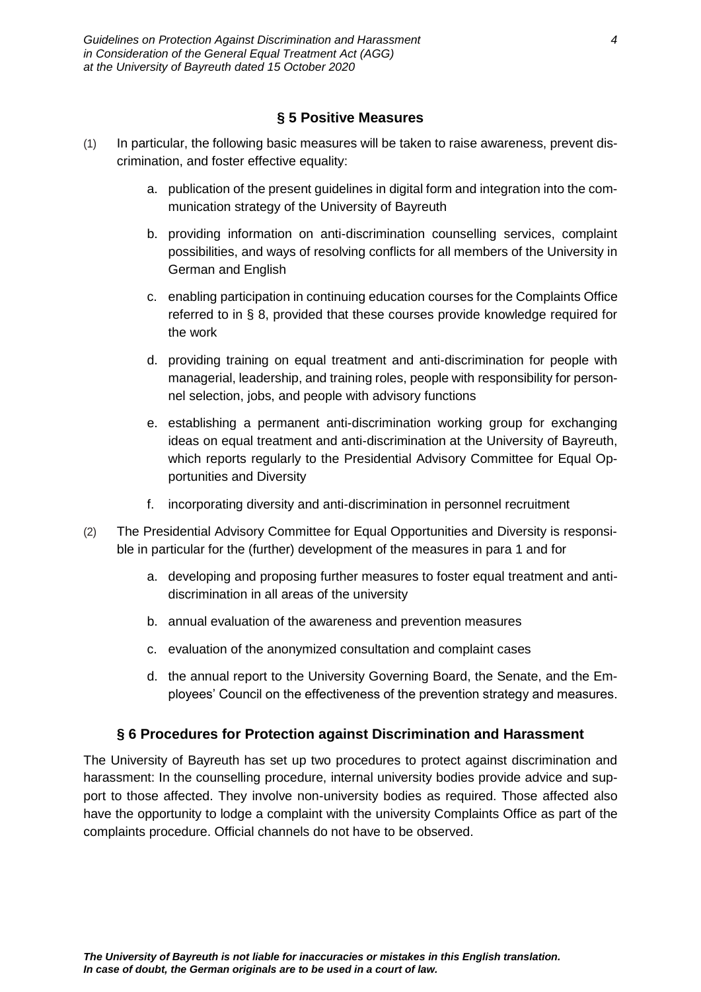#### **§ 5 Positive Measures**

- <span id="page-3-0"></span>(1) In particular, the following basic measures will be taken to raise awareness, prevent discrimination, and foster effective equality:
	- a. publication of the present guidelines in digital form and integration into the communication strategy of the University of Bayreuth
	- b. providing information on anti-discrimination counselling services, complaint possibilities, and ways of resolving conflicts for all members of the University in German and English
	- c. enabling participation in continuing education courses for the Complaints Office referred to in § 8, provided that these courses provide knowledge required for the work
	- d. providing training on equal treatment and anti-discrimination for people with managerial, leadership, and training roles, people with responsibility for personnel selection, jobs, and people with advisory functions
	- e. establishing a permanent anti-discrimination working group for exchanging ideas on equal treatment and anti-discrimination at the University of Bayreuth, which reports regularly to the Presidential Advisory Committee for Equal Opportunities and Diversity
	- f. incorporating diversity and anti-discrimination in personnel recruitment
- (2) The Presidential Advisory Committee for Equal Opportunities and Diversity is responsible in particular for the (further) development of the measures in para 1 and for
	- a. developing and proposing further measures to foster equal treatment and antidiscrimination in all areas of the university
	- b. annual evaluation of the awareness and prevention measures
	- c. evaluation of the anonymized consultation and complaint cases
	- d. the annual report to the University Governing Board, the Senate, and the Employees' Council on the effectiveness of the prevention strategy and measures.

#### **§ 6 Procedures for Protection against Discrimination and Harassment**

<span id="page-3-1"></span>The University of Bayreuth has set up two procedures to protect against discrimination and harassment: In the counselling procedure, internal university bodies provide advice and support to those affected. They involve non-university bodies as required. Those affected also have the opportunity to lodge a complaint with the university Complaints Office as part of the complaints procedure. Official channels do not have to be observed.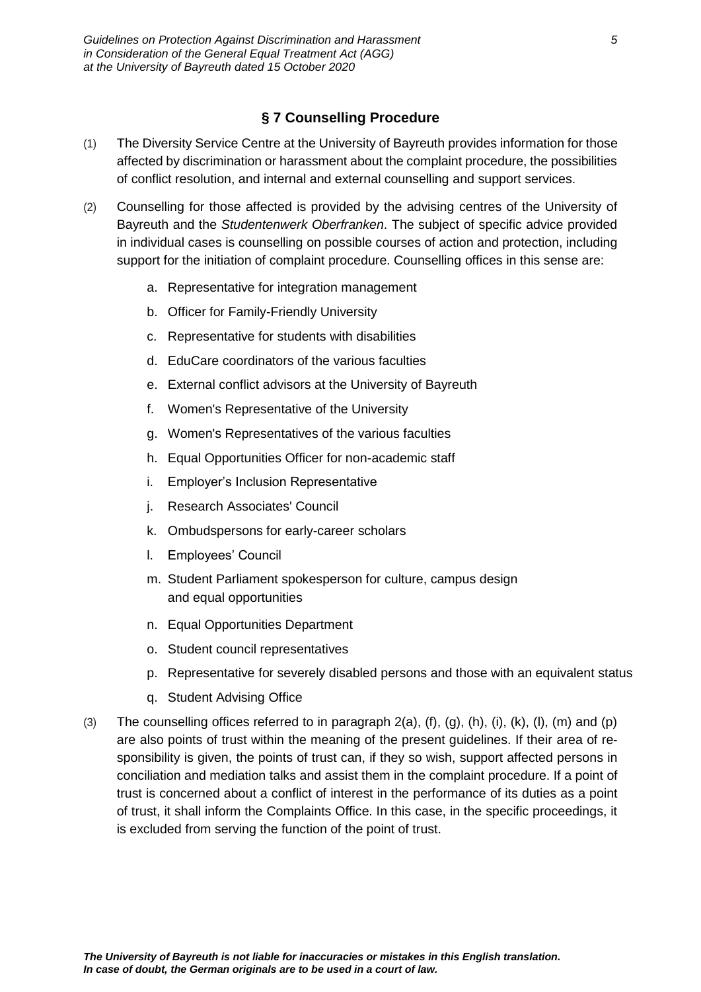# **§ 7 Counselling Procedure**

- <span id="page-4-0"></span>(1) The Diversity Service Centre at the University of Bayreuth provides information for those affected by discrimination or harassment about the complaint procedure, the possibilities of conflict resolution, and internal and external counselling and support services.
- (2) Counselling for those affected is provided by the advising centres of the University of Bayreuth and the *Studentenwerk Oberfranken*. The subject of specific advice provided in individual cases is counselling on possible courses of action and protection, including support for the initiation of complaint procedure. Counselling offices in this sense are:
	- a. Representative for integration management
	- b. Officer for Family-Friendly University
	- c. Representative for students with disabilities
	- d. EduCare coordinators of the various faculties
	- e. External conflict advisors at the University of Bayreuth
	- f. Women's Representative of the University
	- g. Women's Representatives of the various faculties
	- h. Equal Opportunities Officer for non-academic staff
	- i. Employer's Inclusion Representative
	- j. Research Associates' Council
	- k. Ombudspersons for early-career scholars
	- l. Employees' Council
	- m. Student Parliament spokesperson for culture, campus design and equal opportunities
	- n. Equal Opportunities Department
	- o. Student council representatives
	- p. Representative for severely disabled persons and those with an equivalent status
	- q. Student Advising Office
- (3) The counselling offices referred to in paragraph  $2(a)$ ,  $(f)$ ,  $(g)$ ,  $(h)$ ,  $(i)$ ,  $(k)$ ,  $(l)$ ,  $(m)$  and  $(p)$ are also points of trust within the meaning of the present guidelines. If their area of responsibility is given, the points of trust can, if they so wish, support affected persons in conciliation and mediation talks and assist them in the complaint procedure. If a point of trust is concerned about a conflict of interest in the performance of its duties as a point of trust, it shall inform the Complaints Office. In this case, in the specific proceedings, it is excluded from serving the function of the point of trust.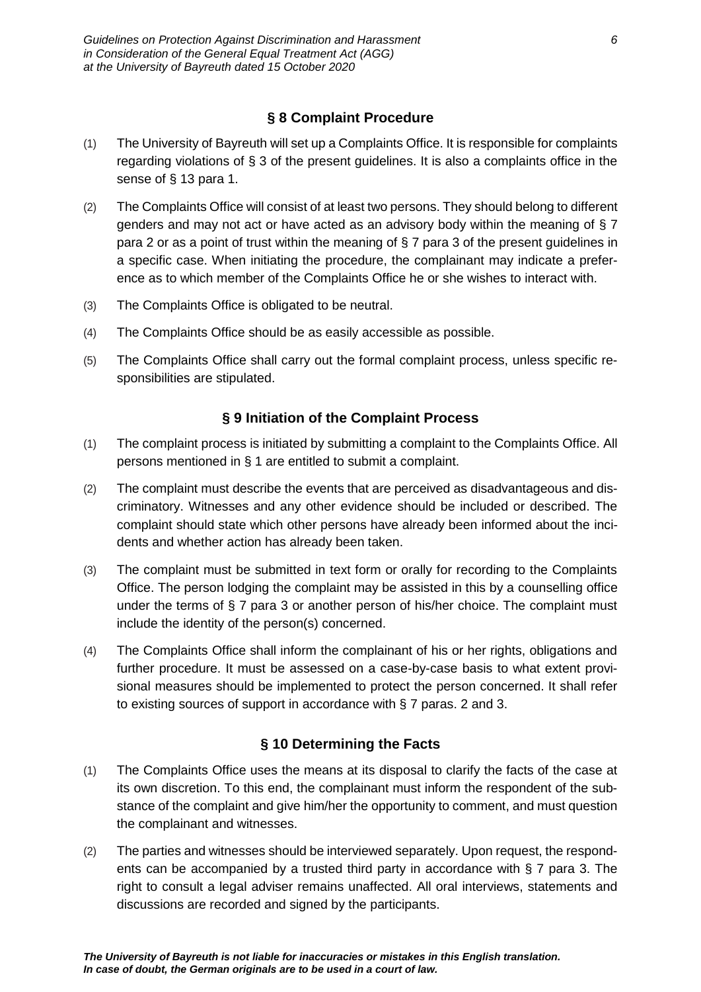# **§ 8 Complaint Procedure**

- <span id="page-5-0"></span>(1) The University of Bayreuth will set up a Complaints Office. It is responsible for complaints regarding violations of § 3 of the present guidelines. It is also a complaints office in the sense of § 13 para 1.
- (2) The Complaints Office will consist of at least two persons. They should belong to different genders and may not act or have acted as an advisory body within the meaning of § 7 para 2 or as a point of trust within the meaning of § 7 para 3 of the present guidelines in a specific case. When initiating the procedure, the complainant may indicate a preference as to which member of the Complaints Office he or she wishes to interact with.
- (3) The Complaints Office is obligated to be neutral.
- (4) The Complaints Office should be as easily accessible as possible.
- (5) The Complaints Office shall carry out the formal complaint process, unless specific responsibilities are stipulated.

#### **§ 9 Initiation of the Complaint Process**

- <span id="page-5-1"></span>(1) The complaint process is initiated by submitting a complaint to the Complaints Office. All persons mentioned in § 1 are entitled to submit a complaint.
- (2) The complaint must describe the events that are perceived as disadvantageous and discriminatory. Witnesses and any other evidence should be included or described. The complaint should state which other persons have already been informed about the incidents and whether action has already been taken.
- (3) The complaint must be submitted in text form or orally for recording to the Complaints Office. The person lodging the complaint may be assisted in this by a counselling office under the terms of § 7 para 3 or another person of his/her choice. The complaint must include the identity of the person(s) concerned.
- (4) The Complaints Office shall inform the complainant of his or her rights, obligations and further procedure. It must be assessed on a case-by-case basis to what extent provisional measures should be implemented to protect the person concerned. It shall refer to existing sources of support in accordance with § 7 paras. 2 and 3.

#### **§ 10 Determining the Facts**

- <span id="page-5-2"></span>(1) The Complaints Office uses the means at its disposal to clarify the facts of the case at its own discretion. To this end, the complainant must inform the respondent of the substance of the complaint and give him/her the opportunity to comment, and must question the complainant and witnesses.
- (2) The parties and witnesses should be interviewed separately. Upon request, the respondents can be accompanied by a trusted third party in accordance with § 7 para 3. The right to consult a legal adviser remains unaffected. All oral interviews, statements and discussions are recorded and signed by the participants.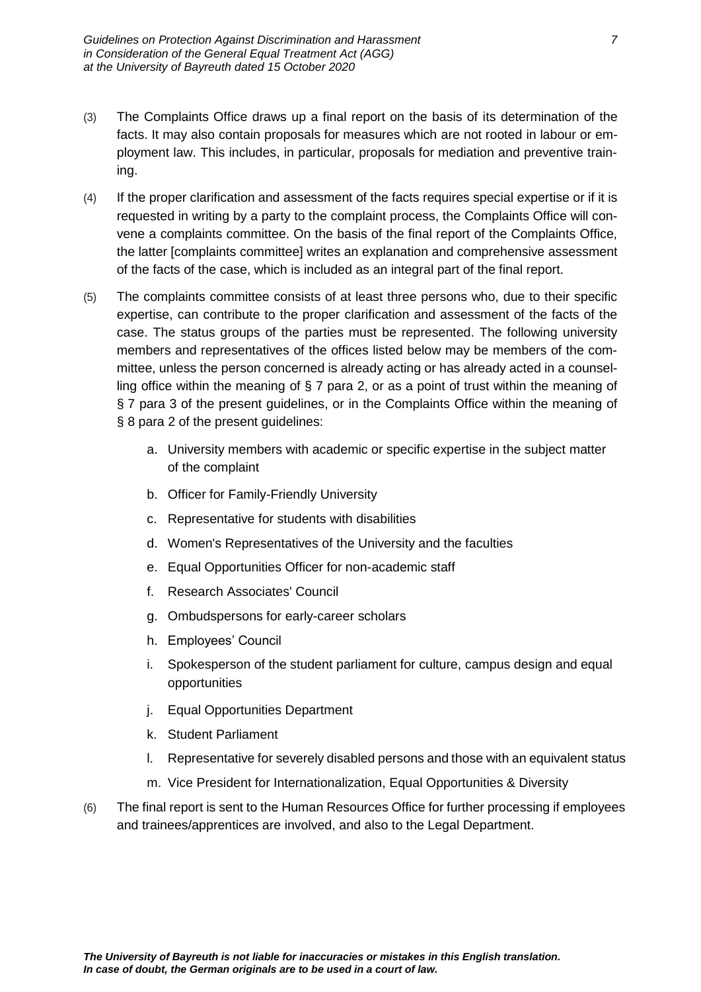- (3) The Complaints Office draws up a final report on the basis of its determination of the facts. It may also contain proposals for measures which are not rooted in labour or employment law. This includes, in particular, proposals for mediation and preventive training.
- (4) If the proper clarification and assessment of the facts requires special expertise or if it is requested in writing by a party to the complaint process, the Complaints Office will convene a complaints committee. On the basis of the final report of the Complaints Office, the latter [complaints committee] writes an explanation and comprehensive assessment of the facts of the case, which is included as an integral part of the final report.
- (5) The complaints committee consists of at least three persons who, due to their specific expertise, can contribute to the proper clarification and assessment of the facts of the case. The status groups of the parties must be represented. The following university members and representatives of the offices listed below may be members of the committee, unless the person concerned is already acting or has already acted in a counselling office within the meaning of § 7 para 2, or as a point of trust within the meaning of § 7 para 3 of the present guidelines, or in the Complaints Office within the meaning of § 8 para 2 of the present guidelines:
	- a. University members with academic or specific expertise in the subject matter of the complaint
	- b. Officer for Family-Friendly University
	- c. Representative for students with disabilities
	- d. Women's Representatives of the University and the faculties
	- e. Equal Opportunities Officer for non-academic staff
	- f. Research Associates' Council
	- g. Ombudspersons for early-career scholars
	- h. Employees' Council
	- i. Spokesperson of the student parliament for culture, campus design and equal opportunities
	- j. Equal Opportunities Department
	- k. Student Parliament
	- l. Representative for severely disabled persons and those with an equivalent status
	- m. Vice President for Internationalization, Equal Opportunities & Diversity
- (6) The final report is sent to the Human Resources Office for further processing if employees and trainees/apprentices are involved, and also to the Legal Department.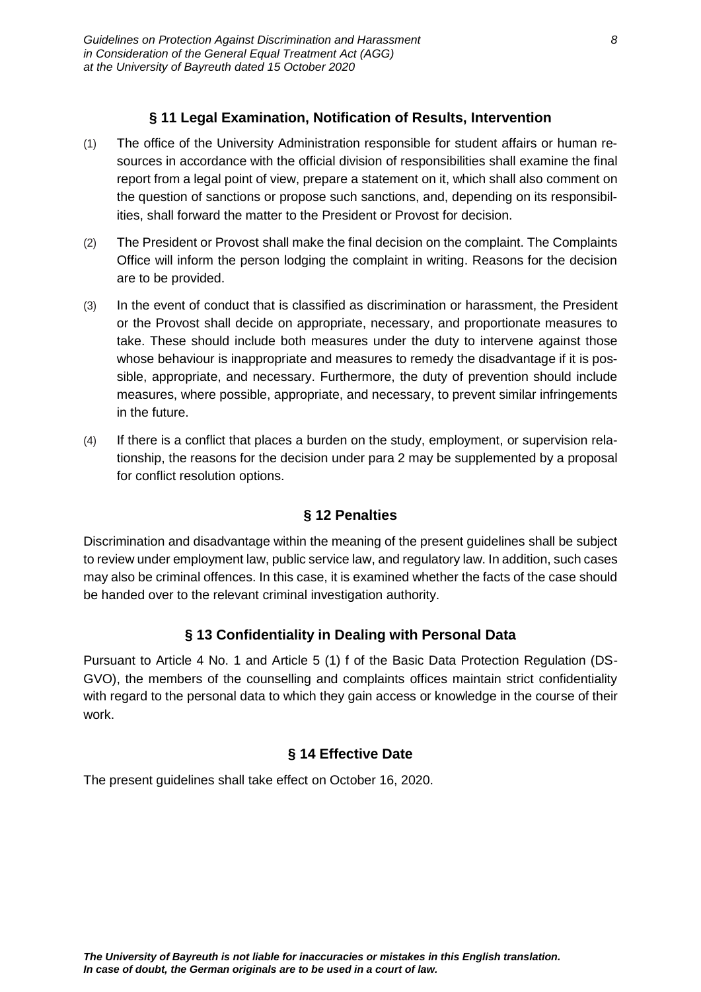#### **§ 11 Legal Examination, Notification of Results, Intervention**

- <span id="page-7-0"></span>(1) The office of the University Administration responsible for student affairs or human resources in accordance with the official division of responsibilities shall examine the final report from a legal point of view, prepare a statement on it, which shall also comment on the question of sanctions or propose such sanctions, and, depending on its responsibilities, shall forward the matter to the President or Provost for decision.
- (2) The President or Provost shall make the final decision on the complaint. The Complaints Office will inform the person lodging the complaint in writing. Reasons for the decision are to be provided.
- (3) In the event of conduct that is classified as discrimination or harassment, the President or the Provost shall decide on appropriate, necessary, and proportionate measures to take. These should include both measures under the duty to intervene against those whose behaviour is inappropriate and measures to remedy the disadvantage if it is possible, appropriate, and necessary. Furthermore, the duty of prevention should include measures, where possible, appropriate, and necessary, to prevent similar infringements in the future.
- (4) If there is a conflict that places a burden on the study, employment, or supervision relationship, the reasons for the decision under para 2 may be supplemented by a proposal for conflict resolution options.

#### **§ 12 Penalties**

<span id="page-7-1"></span>Discrimination and disadvantage within the meaning of the present guidelines shall be subject to review under employment law, public service law, and regulatory law. In addition, such cases may also be criminal offences. In this case, it is examined whether the facts of the case should be handed over to the relevant criminal investigation authority.

#### **§ 13 Confidentiality in Dealing with Personal Data**

<span id="page-7-2"></span>Pursuant to Article 4 No. 1 and Article 5 (1) f of the Basic Data Protection Regulation (DS-GVO), the members of the counselling and complaints offices maintain strict confidentiality with regard to the personal data to which they gain access or knowledge in the course of their work.

#### **§ 14 Effective Date**

<span id="page-7-3"></span>The present guidelines shall take effect on October 16, 2020.